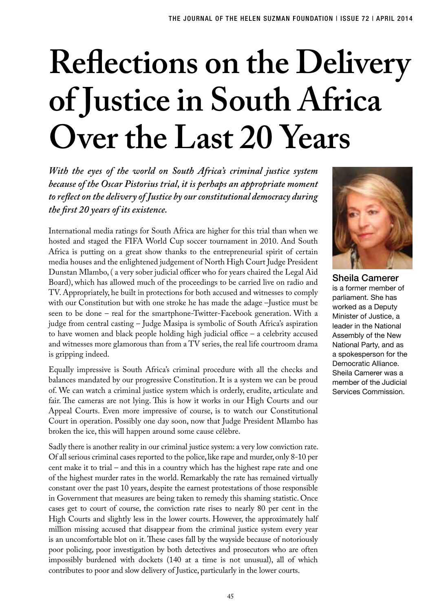## **Reflections on the Delivery of Justice in South Africa Over the Last 20 Years**

*With the eyes of the world on South Africa's criminal justice system because of the Oscar Pistorius trial, it is perhaps an appropriate moment to reflect on the delivery of Justice by our constitutional democracy during the first 20 years of its existence.*

International media ratings for South Africa are higher for this trial than when we hosted and staged the FIFA World Cup soccer tournament in 2010. And South Africa is putting on a great show thanks to the entrepreneurial spirit of certain media houses and the enlightened judgement of North High Court Judge President Dunstan Mlambo, ( a very sober judicial officer who for years chaired the Legal Aid Board), which has allowed much of the proceedings to be carried live on radio and TV. Appropriately, he built in protections for both accused and witnesses to comply with our Constitution but with one stroke he has made the adage –Justice must be seen to be done – real for the smartphone-Twitter-Facebook generation. With a judge from central casting – Judge Masipa is symbolic of South Africa's aspiration to have women and black people holding high judicial office – a celebrity accused and witnesses more glamorous than from a TV series, the real life courtroom drama is gripping indeed.

Equally impressive is South Africa's criminal procedure with all the checks and balances mandated by our progressive Constitution. It is a system we can be proud of. We can watch a criminal justice system which is orderly, erudite, articulate and fair. The cameras are not lying. This is how it works in our High Courts and our Appeal Courts. Even more impressive of course, is to watch our Constitutional Court in operation. Possibly one day soon, now that Judge President Mlambo has broken the ice, this will happen around some cause célèbre.

Sadly there is another reality in our criminal justice system: a very low conviction rate. Of all serious criminal cases reported to the police, like rape and murder, only 8-10 per cent make it to trial – and this in a country which has the highest rape rate and one of the highest murder rates in the world. Remarkably the rate has remained virtually constant over the past 10 years, despite the earnest protestations of those responsible in Government that measures are being taken to remedy this shaming statistic. Once cases get to court of course, the conviction rate rises to nearly 80 per cent in the High Courts and slightly less in the lower courts. However, the approximately half million missing accused that disappear from the criminal justice system every year is an uncomfortable blot on it. These cases fall by the wayside because of notoriously poor policing, poor investigation by both detectives and prosecutors who are often impossibly burdened with dockets (140 at a time is not unusual), all of which contributes to poor and slow delivery of Justice, particularly in the lower courts.



Sheila Camerer is a former member of parliament. She has worked as a Deputy Minister of Justice, a leader in the National Assembly of the New National Party, and as a spokesperson for the Democratic Alliance. Sheila Camerer was a member of the Judicial Services Commission.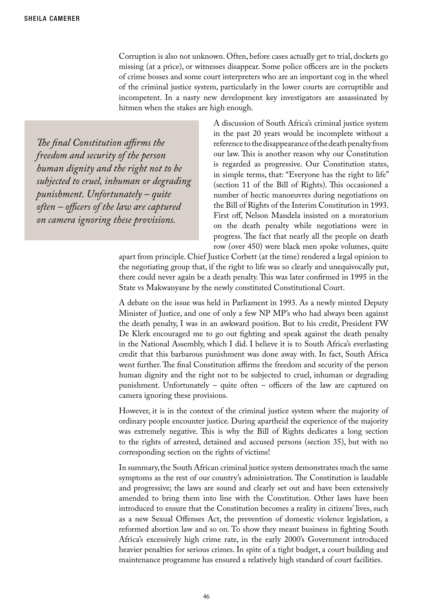Corruption is also not unknown. Often, before cases actually get to trial, dockets go missing (at a price), or witnesses disappear. Some police officers are in the pockets of crime bosses and some court interpreters who are an important cog in the wheel of the criminal justice system, particularly in the lower courts are corruptible and incompetent. In a nasty new development key investigators are assassinated by hitmen when the stakes are high enough.

*The final Constitution affirms the freedom and security of the person human dignity and the right not to be subjected to cruel, inhuman or degrading punishment. Unfortunately – quite often – officers of the law are captured on camera ignoring these provisions.*

A discussion of South Africa's criminal justice system in the past 20 years would be incomplete without a reference to the disappearance of the death penalty from our law. This is another reason why our Constitution is regarded as progressive. Our Constitution states, in simple terms, that: "Everyone has the right to life" (section 11 of the Bill of Rights). This occasioned a number of hectic manoeuvres during negotiations on the Bill of Rights of the Interim Constitution in 1993. First off, Nelson Mandela insisted on a moratorium on the death penalty while negotiations were in progress. The fact that nearly all the people on death row (over 450) were black men spoke volumes, quite

apart from principle. Chief Justice Corbett (at the time) rendered a legal opinion to the negotiating group that, if the right to life was so clearly and unequivocally put, there could never again be a death penalty. This was later confirmed in 1995 in the State vs Makwanyane by the newly constituted Constitutional Court.

A debate on the issue was held in Parliament in 1993. As a newly minted Deputy Minister of Justice, and one of only a few NP MP's who had always been against the death penalty, I was in an awkward position. But to his credit, President FW De Klerk encouraged me to go out fighting and speak against the death penalty in the National Assembly, which I did. I believe it is to South Africa's everlasting credit that this barbarous punishment was done away with. In fact, South Africa went further. The final Constitution affirms the freedom and security of the person human dignity and the right not to be subjected to cruel, inhuman or degrading punishment. Unfortunately – quite often – officers of the law are captured on camera ignoring these provisions.

However, it is in the context of the criminal justice system where the majority of ordinary people encounter justice. During apartheid the experience of the majority was extremely negative. This is why the Bill of Rights dedicates a long section to the rights of arrested, detained and accused persons (section 35), but with no corresponding section on the rights of victims!

In summary, the South African criminal justice system demonstrates much the same symptoms as the rest of our country's administration. The Constitution is laudable and progressive; the laws are sound and clearly set out and have been extensively amended to bring them into line with the Constitution. Other laws have been introduced to ensure that the Constitution becomes a reality in citizens' lives, such as a new Sexual Offenses Act, the prevention of domestic violence legislation, a reformed abortion law and so on. To show they meant business in fighting South Africa's excessively high crime rate, in the early 2000's Government introduced heavier penalties for serious crimes. In spite of a tight budget, a court building and maintenance programme has ensured a relatively high standard of court facilities.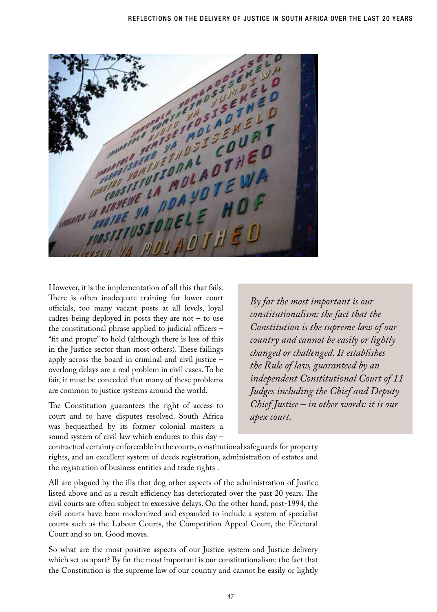WARD ON THE VALUE OF THE WARD THE WARD THE WARD THE WARD THE WARD THE WARD THE WARD THE WARD THE WARD THE CALL THE U **CONSEVE LA NDA YO I E O F** READINED

However, it is the implementation of all this that fails. There is often inadequate training for lower court officials, too many vacant posts at all levels, loyal cadres being deployed in posts they are not  $-$  to use the constitutional phrase applied to judicial officers – "fit and proper" to hold (although there is less of this in the Justice sector than most others). These failings apply across the board in criminal and civil justice – overlong delays are a real problem in civil cases. To be fair, it must be conceded that many of these problems are common to justice systems around the world.

The Constitution guarantees the right of access to court and to have disputes resolved. South Africa was bequeathed by its former colonial masters a sound system of civil law which endures to this day –

*By far the most important is our constitutionalism: the fact that the Constitution is the supreme law of our country and cannot be easily or lightly changed or challenged. It establishes the Rule of law, guaranteed by an independent Constitutional Court of 11 Judges including the Chief and Deputy Chief Justice – in other words: it is our apex court.*

contractual certainty enforceable in the courts, constitutional safeguards for property rights, and an excellent system of deeds registration, administration of estates and the registration of business entities and trade rights .

All are plagued by the ills that dog other aspects of the administration of Justice listed above and as a result efficiency has deteriorated over the past 20 years. The civil courts are often subject to excessive delays. On the other hand, post-1994, the civil courts have been modernized and expanded to include a system of specialist courts such as the Labour Courts, the Competition Appeal Court, the Electoral Court and so on. Good moves.

So what are the most positive aspects of our Justice system and Justice delivery which set us apart? By far the most important is our constitutionalism: the fact that the Constitution is the supreme law of our country and cannot be easily or lightly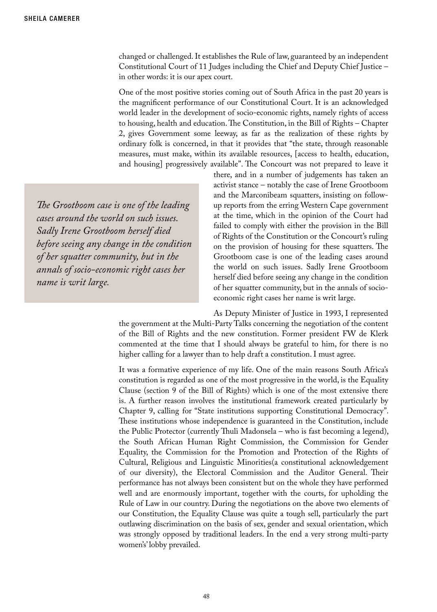changed or challenged. It establishes the Rule of law, guaranteed by an independent Constitutional Court of 11 Judges including the Chief and Deputy Chief Justice – in other words: it is our apex court.

One of the most positive stories coming out of South Africa in the past 20 years is the magnificent performance of our Constitutional Court. It is an acknowledged world leader in the development of socio-economic rights, namely rights of access to housing, health and education. The Constitution, in the Bill of Rights – Chapter 2, gives Government some leeway, as far as the realization of these rights by ordinary folk is concerned, in that it provides that "the state, through reasonable measures, must make, within its available resources, [access to health, education, and housing] progressively available". The Concourt was not prepared to leave it

*The Grootboom case is one of the leading cases around the world on such issues. Sadly Irene Grootboom herself died before seeing any change in the condition of her squatter community, but in the annals of socio-economic right cases her name is writ large.*

there, and in a number of judgements has taken an activist stance – notably the case of Irene Grootboom and the Marconibeam squatters, insisting on followup reports from the erring Western Cape government at the time, which in the opinion of the Court had failed to comply with either the provision in the Bill of Rights of the Constitution or the Concourt's ruling on the provision of housing for these squatters. The Grootboom case is one of the leading cases around the world on such issues. Sadly Irene Grootboom herself died before seeing any change in the condition of her squatter community, but in the annals of socioeconomic right cases her name is writ large.

As Deputy Minister of Justice in 1993, I represented the government at the Multi-Party Talks concerning the negotiation of the content of the Bill of Rights and the new constitution. Former president FW de Klerk commented at the time that I should always be grateful to him, for there is no higher calling for a lawyer than to help draft a constitution. I must agree.

It was a formative experience of my life. One of the main reasons South Africa's constitution is regarded as one of the most progressive in the world, is the Equality Clause (section 9 of the Bill of Rights) which is one of the most extensive there is. A further reason involves the institutional framework created particularly by Chapter 9, calling for "State institutions supporting Constitutional Democracy". These institutions whose independence is guaranteed in the Constitution, include the Public Protector (currently Thuli Madonsela – who is fast becoming a legend), the South African Human Right Commission, the Commission for Gender Equality, the Commission for the Promotion and Protection of the Rights of Cultural, Religious and Linguistic Minorities(a constitutional acknowledgement of our diversity), the Electoral Commission and the Auditor General. Their performance has not always been consistent but on the whole they have performed well and are enormously important, together with the courts, for upholding the Rule of Law in our country. During the negotiations on the above two elements of our Constitution, the Equality Clause was quite a tough sell, particularly the part outlawing discrimination on the basis of sex, gender and sexual orientation, which was strongly opposed by traditional leaders. In the end a very strong multi-party women's' lobby prevailed.